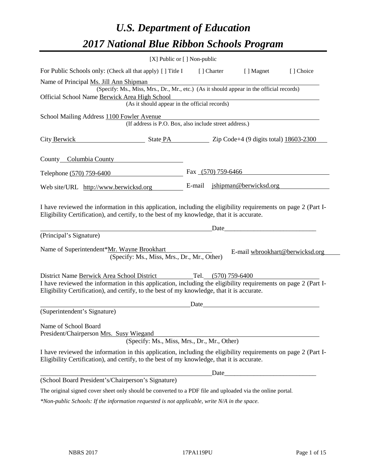# *U.S. Department of Education 2017 National Blue Ribbon Schools Program*

|                                                                                                                                                                                                                                                                                                                                      | [X] Public or [] Non-public |        |                    |                                 |           |
|--------------------------------------------------------------------------------------------------------------------------------------------------------------------------------------------------------------------------------------------------------------------------------------------------------------------------------------|-----------------------------|--------|--------------------|---------------------------------|-----------|
| For Public Schools only: (Check all that apply) [] Title I                                                                                                                                                                                                                                                                           |                             |        | [ ] Charter        | [ ] Magnet                      | [] Choice |
| Name of Principal Ms. Jill Ann Shipman<br>(Specify: Ms., Miss, Mrs., Dr., Mr., etc.) (As it should appear in the official records)<br>Official School Name Berwick Area High School<br>(As it should appear in the official records)                                                                                                 |                             |        |                    |                                 |           |
| School Mailing Address 1100 Fowler Avenue<br>(If address is P.O. Box, also include street address.)                                                                                                                                                                                                                                  |                             |        |                    |                                 |           |
| City Berwick<br>$\bullet$ State PA $\bullet$ Zip Code+4 (9 digits total) 18603-2300                                                                                                                                                                                                                                                  |                             |        |                    |                                 |           |
| County Columbia County                                                                                                                                                                                                                                                                                                               |                             |        |                    |                                 |           |
| Telephone (570) 759-6400                                                                                                                                                                                                                                                                                                             |                             |        | Fax (570) 759-6466 |                                 |           |
| Web site/URL http://www.berwicksd.org                                                                                                                                                                                                                                                                                                |                             | E-mail |                    | jshipman@berwicksd.org          |           |
| I have reviewed the information in this application, including the eligibility requirements on page 2 (Part I-<br>Eligibility Certification), and certify, to the best of my knowledge, that it is accurate.<br>(Principal's Signature)<br>Name of Superintendent*Mr. Wayne Brookhart<br>(Specify: Ms., Miss, Mrs., Dr., Mr., Other) |                             |        | Date               | E-mail wbrookhart@berwicksd.org |           |
| District Name Berwick Area School District Tel. (570) 759-6400<br>I have reviewed the information in this application, including the eligibility requirements on page 2 (Part I-<br>Eligibility Certification), and certify, to the best of my knowledge, that it is accurate.                                                       |                             |        |                    |                                 |           |
|                                                                                                                                                                                                                                                                                                                                      |                             | Date   |                    |                                 |           |
| (Superintendent's Signature)                                                                                                                                                                                                                                                                                                         |                             |        |                    |                                 |           |
| Name of School Board<br>President/Chairperson Mrs. Susy Wiegand<br>(Specify: Ms., Miss, Mrs., Dr., Mr., Other)                                                                                                                                                                                                                       |                             |        |                    |                                 |           |
| I have reviewed the information in this application, including the eligibility requirements on page 2 (Part I-<br>Eligibility Certification), and certify, to the best of my knowledge, that it is accurate.                                                                                                                         |                             |        |                    |                                 |           |
| (School Board President's/Chairperson's Signature)                                                                                                                                                                                                                                                                                   |                             |        | Date               |                                 |           |
| The original signed cover sheet only should be converted to a PDF file and uploaded via the online portal.                                                                                                                                                                                                                           |                             |        |                    |                                 |           |

*\*Non-public Schools: If the information requested is not applicable, write N/A in the space.*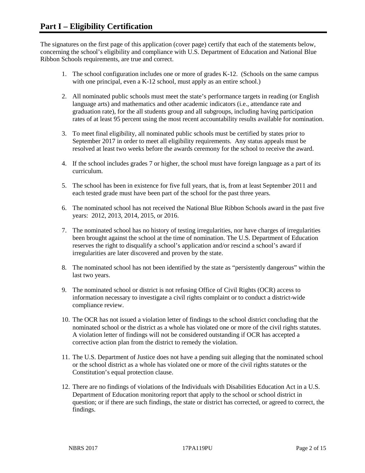The signatures on the first page of this application (cover page) certify that each of the statements below, concerning the school's eligibility and compliance with U.S. Department of Education and National Blue Ribbon Schools requirements, are true and correct.

- 1. The school configuration includes one or more of grades K-12. (Schools on the same campus with one principal, even a K-12 school, must apply as an entire school.)
- 2. All nominated public schools must meet the state's performance targets in reading (or English language arts) and mathematics and other academic indicators (i.e., attendance rate and graduation rate), for the all students group and all subgroups, including having participation rates of at least 95 percent using the most recent accountability results available for nomination.
- 3. To meet final eligibility, all nominated public schools must be certified by states prior to September 2017 in order to meet all eligibility requirements. Any status appeals must be resolved at least two weeks before the awards ceremony for the school to receive the award.
- 4. If the school includes grades 7 or higher, the school must have foreign language as a part of its curriculum.
- 5. The school has been in existence for five full years, that is, from at least September 2011 and each tested grade must have been part of the school for the past three years.
- 6. The nominated school has not received the National Blue Ribbon Schools award in the past five years: 2012, 2013, 2014, 2015, or 2016.
- 7. The nominated school has no history of testing irregularities, nor have charges of irregularities been brought against the school at the time of nomination. The U.S. Department of Education reserves the right to disqualify a school's application and/or rescind a school's award if irregularities are later discovered and proven by the state.
- 8. The nominated school has not been identified by the state as "persistently dangerous" within the last two years.
- 9. The nominated school or district is not refusing Office of Civil Rights (OCR) access to information necessary to investigate a civil rights complaint or to conduct a district-wide compliance review.
- 10. The OCR has not issued a violation letter of findings to the school district concluding that the nominated school or the district as a whole has violated one or more of the civil rights statutes. A violation letter of findings will not be considered outstanding if OCR has accepted a corrective action plan from the district to remedy the violation.
- 11. The U.S. Department of Justice does not have a pending suit alleging that the nominated school or the school district as a whole has violated one or more of the civil rights statutes or the Constitution's equal protection clause.
- 12. There are no findings of violations of the Individuals with Disabilities Education Act in a U.S. Department of Education monitoring report that apply to the school or school district in question; or if there are such findings, the state or district has corrected, or agreed to correct, the findings.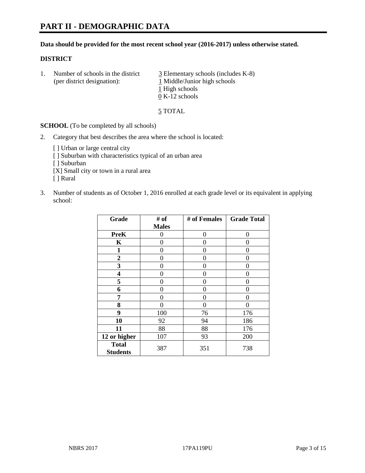#### **Data should be provided for the most recent school year (2016-2017) unless otherwise stated.**

#### **DISTRICT**

1. Number of schools in the district  $\frac{3}{2}$  Elementary schools (includes K-8) (per district designation): 1 Middle/Junior high schools 1 High schools 0 K-12 schools

5 TOTAL

**SCHOOL** (To be completed by all schools)

- 2. Category that best describes the area where the school is located:
	- [] Urban or large central city [ ] Suburban with characteristics typical of an urban area [ ] Suburban [X] Small city or town in a rural area [ ] Rural
- 3. Number of students as of October 1, 2016 enrolled at each grade level or its equivalent in applying school:

| Grade                           | # of         | # of Females | <b>Grade Total</b> |
|---------------------------------|--------------|--------------|--------------------|
|                                 | <b>Males</b> |              |                    |
| <b>PreK</b>                     | 0            | 0            | 0                  |
| K                               | 0            | 0            | 0                  |
| $\mathbf{1}$                    | 0            | 0            | 0                  |
| $\boldsymbol{2}$                | 0            | 0            | 0                  |
| 3                               | 0            | 0            | 0                  |
| 4                               | 0            | 0            | 0                  |
| 5                               | 0            | 0            | 0                  |
| 6                               | 0            | 0            | 0                  |
| 7                               | 0            | 0            | 0                  |
| 8                               | 0            | 0            | 0                  |
| 9                               | 100          | 76           | 176                |
| 10                              | 92           | 94           | 186                |
| 11                              | 88           | 88           | 176                |
| 12 or higher                    | 107          | 93           | 200                |
| <b>Total</b><br><b>Students</b> | 387          | 351          | 738                |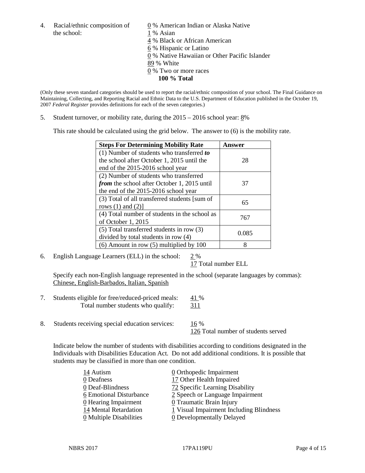4. Racial/ethnic composition of  $\qquad \qquad \underline{0}$  % American Indian or Alaska Native the school: 1 % Asian

 % Black or African American % Hispanic or Latino % Native Hawaiian or Other Pacific Islander 89 % White % Two or more races **100 % Total**

(Only these seven standard categories should be used to report the racial/ethnic composition of your school. The Final Guidance on Maintaining, Collecting, and Reporting Racial and Ethnic Data to the U.S. Department of Education published in the October 19, 2007 *Federal Register* provides definitions for each of the seven categories.)

5. Student turnover, or mobility rate, during the 2015 – 2016 school year: 8%

This rate should be calculated using the grid below. The answer to (6) is the mobility rate.

| <b>Steps For Determining Mobility Rate</b>         | Answer |  |
|----------------------------------------------------|--------|--|
| (1) Number of students who transferred to          |        |  |
| the school after October 1, 2015 until the         | 28     |  |
| end of the 2015-2016 school year                   |        |  |
| (2) Number of students who transferred             |        |  |
| <i>from</i> the school after October 1, 2015 until | 37     |  |
| the end of the 2015-2016 school year               |        |  |
| (3) Total of all transferred students [sum of      | 65     |  |
| rows $(1)$ and $(2)$ ]                             |        |  |
| (4) Total number of students in the school as      | 767    |  |
| of October 1, 2015                                 |        |  |
| (5) Total transferred students in row (3)          | 0.085  |  |
| divided by total students in row (4)               |        |  |
| $(6)$ Amount in row $(5)$ multiplied by 100        | 8      |  |

6. English Language Learners (ELL) in the school: 2 %

17 Total number ELL

Specify each non-English language represented in the school (separate languages by commas): Chinese, English-Barbados, Italian, Spanish

- 7. Students eligible for free/reduced-priced meals: 41 % Total number students who qualify: 311
- 8. Students receiving special education services: 16 %

126 Total number of students served

Indicate below the number of students with disabilities according to conditions designated in the Individuals with Disabilities Education Act. Do not add additional conditions. It is possible that students may be classified in more than one condition.

| 14 Autism                             | $\underline{0}$ Orthopedic Impairment   |
|---------------------------------------|-----------------------------------------|
| 0 Deafness                            | 17 Other Health Impaired                |
| 0 Deaf-Blindness                      | 72 Specific Learning Disability         |
| 6 Emotional Disturbance               | 2 Speech or Language Impairment         |
| 0 Hearing Impairment                  | 0 Traumatic Brain Injury                |
| 14 Mental Retardation                 | 1 Visual Impairment Including Blindness |
| $\underline{0}$ Multiple Disabilities | <b>0</b> Developmentally Delayed        |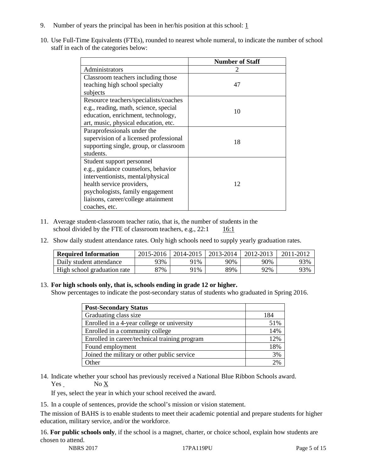- 9. Number of years the principal has been in her/his position at this school:  $1$
- 10. Use Full-Time Equivalents (FTEs), rounded to nearest whole numeral, to indicate the number of school staff in each of the categories below:

|                                        | <b>Number of Staff</b> |
|----------------------------------------|------------------------|
| Administrators                         |                        |
| Classroom teachers including those     |                        |
| teaching high school specialty         | 47                     |
| subjects                               |                        |
| Resource teachers/specialists/coaches  |                        |
| e.g., reading, math, science, special  | 10                     |
| education, enrichment, technology,     |                        |
| art, music, physical education, etc.   |                        |
| Paraprofessionals under the            |                        |
| supervision of a licensed professional | 18                     |
| supporting single, group, or classroom |                        |
| students.                              |                        |
| Student support personnel              |                        |
| e.g., guidance counselors, behavior    |                        |
| interventionists, mental/physical      |                        |
| health service providers,              | 12                     |
| psychologists, family engagement       |                        |
| liaisons, career/college attainment    |                        |
| coaches, etc.                          |                        |

- 11. Average student-classroom teacher ratio, that is, the number of students in the school divided by the FTE of classroom teachers, e.g.,  $22:1$  16:1
- 12. Show daily student attendance rates. Only high schools need to supply yearly graduation rates.

| <b>Required Information</b> | 2015-2016 | 2014-2015 | 2013-2014 | 2012-2013 |     |
|-----------------------------|-----------|-----------|-----------|-----------|-----|
| Daily student attendance    | <b>3%</b> | 91%       | 90%       | 90%       | 93% |
| High school graduation rate | 37%       | 91%       | 89%       | 92%       | 93% |

#### 13. **For high schools only, that is, schools ending in grade 12 or higher.**

Show percentages to indicate the post-secondary status of students who graduated in Spring 2016.

| <b>Post-Secondary Status</b>                  |     |
|-----------------------------------------------|-----|
| Graduating class size                         | 184 |
| Enrolled in a 4-year college or university    | 51% |
| Enrolled in a community college               | 14% |
| Enrolled in career/technical training program | 12% |
| Found employment                              | 18% |
| Joined the military or other public service   | 3%  |
| )ther                                         | 2%  |

14. Indicate whether your school has previously received a National Blue Ribbon Schools award. Yes No X

If yes, select the year in which your school received the award.

15. In a couple of sentences, provide the school's mission or vision statement.

The mission of BAHS is to enable students to meet their academic potential and prepare students for higher education, military service, and/or the workforce.

16. **For public schools only**, if the school is a magnet, charter, or choice school, explain how students are chosen to attend.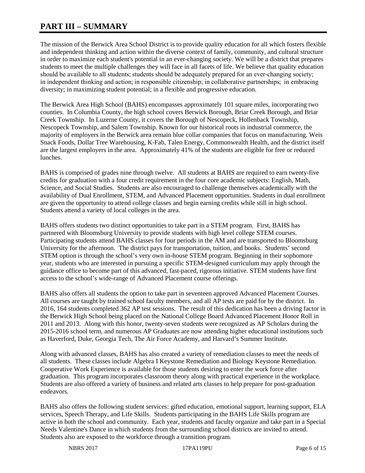# **PART III – SUMMARY**

The mission of the Berwick Area School District is to provide quality education for all which fosters flexible and independent thinking and action within the diverse context of family, community, and cultural structure in order to maximize each student's potential in an ever-changing society. We will be a district that prepares students to meet the multiple challenges they will face in all facets of life. We believe that quality education should be available to all students; students should be adequately prepared for an ever-changing society;  in independent thinking and action; in responsible citizenship; in collaborative partnerships;  in embracing diversity; in maximizing student potential; in a flexible and progressive education.

The Berwick Area High School (BAHS) encompasses approximately 101 square miles, incorporating two counties. In Columbia County, the high school covers Berwick Borough, Briar Creek Borough, and Briar Creek Township. In Luzerne County, it covers the Borough of Nescopeck, Hollenback Township, Nescopeck Township, and Salem Township. Known for our historical roots in industrial commerce, the majority of employers in the Berwick area remain blue collar companies that focus on manufacturing. Weis Snack Foods, Dollar Tree Warehousing, K-Fab, Talen Energy, Commonwealth Health, and the district itself are the largest employers in the area. Approximately 41% of the students are eligible for free or reduced lunches.

BAHS is comprised of grades nine through twelve. All students at BAHS are required to earn twenty-five credits for graduation with a four credit requirement in the four core academic subjects: English, Math, Science, and Social Studies. Students are also encouraged to challenge themselves academically with the availability of Dual Enrollment, STEM, and Advanced Placement opportunities. Students in dual enrollment are given the opportunity to attend college classes and begin earning credits while still in high school. Students attend a variety of local colleges in the area.

BAHS offers students two distinct opportunities to take part in a STEM program. First, BAHS has partnered with Bloomsburg University to provide students with high level college STEM courses. Participating students attend BAHS classes for four periods in the AM and are transported to Bloomsburg University for the afternoon. The district pays for transportation, tuition, and books. Students' second STEM option is through the school's very own in-house STEM program. Beginning in their sophomore year, students who are interested in pursuing a specific STEM-designed curriculum may apply through the guidance office to become part of this advanced, fast-paced, rigorous initiative. STEM students have first access to the school's wide-range of Advanced Placement course offerings.

BAHS also offers all students the option to take part in seventeen approved Advanced Placement Courses. All courses are taught by trained school faculty members, and all AP tests are paid for by the district. In 2016, 164 students completed 362 AP test sessions. The result of this dedication has been a driving factor in the Berwick High School being placed on the National College Board Advanced Placement Honor Roll in 2011 and 2013. Along with this honor, twenty-seven students were recognized as AP Scholars during the 2015-2016 school term, and numerous AP Graduates are now attending higher educational institutions such as Haverford, Duke, Georgia Tech, The Air Force Academy, and Harvard's Summer Institute.

Along with advanced classes, BAHS has also created a variety of remediation classes to meet the needs of all students. These classes include Algebra I Keystone Remediation and Biology Keystone Remediation. Cooperative Work Experience is available for those students desiring to enter the work force after graduation. This program incorporates classroom theory along with practical experience in the workplace. Students are also offered a variety of business and related arts classes to help prepare for post-graduation endeavors.

BAHS also offers the following student services: gifted education, emotional support, learning support, ELA services, Speech Therapy, and Life Skills. Students participating in the BAHS Life Skills program are active in both the school and community. Each year, students and faculty organize and take part in a Special Needs Valentine's Dance in which students from the surrounding school districts are invited to attend. Students also are exposed to the workforce through a transition program.

NBRS 2017 **17PA119PU** Page 6 of 15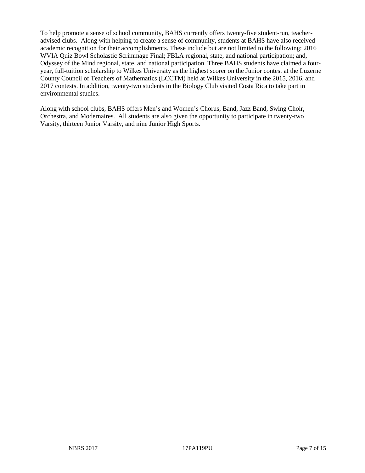To help promote a sense of school community, BAHS currently offers twenty-five student-run, teacheradvised clubs. Along with helping to create a sense of community, students at BAHS have also received academic recognition for their accomplishments. These include but are not limited to the following: 2016 WVIA Quiz Bowl Scholastic Scrimmage Final; FBLA regional, state, and national participation; and, Odyssey of the Mind regional, state, and national participation. Three BAHS students have claimed a fouryear, full-tuition scholarship to Wilkes University as the highest scorer on the Junior contest at the Luzerne County Council of Teachers of Mathematics (LCCTM) held at Wilkes University in the 2015, 2016, and 2017 contests. In addition, twenty-two students in the Biology Club visited Costa Rica to take part in environmental studies.

Along with school clubs, BAHS offers Men's and Women's Chorus, Band, Jazz Band, Swing Choir, Orchestra, and Modernaires. All students are also given the opportunity to participate in twenty-two Varsity, thirteen Junior Varsity, and nine Junior High Sports.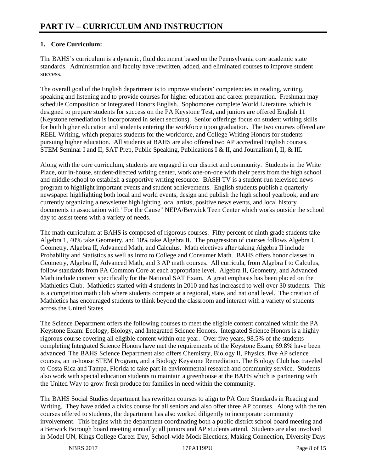# **1. Core Curriculum:**

The BAHS's curriculum is a dynamic, fluid document based on the Pennsylvania core academic state standards. Administration and faculty have rewritten, added, and eliminated courses to improve student success.

The overall goal of the English department is to improve students' competencies in reading, writing, speaking and listening and to provide courses for higher education and career preparation. Freshman may schedule Composition or Integrated Honors English. Sophomores complete World Literature, which is designed to prepare students for success on the PA Keystone Test, and juniors are offered English 11 (Keystone remediation is incorporated in select sections). Senior offerings focus on student writing skills for both higher education and students entering the workforce upon graduation. The two courses offered are REEL Writing, which prepares students for the workforce, and College Writing Honors for students pursuing higher education. All students at BAHS are also offered two AP accredited English courses, STEM Seminar I and II, SAT Prep, Public Speaking, Publications I & II, and Journalism I, II, & III.

Along with the core curriculum, students are engaged in our district and community. Students in the Write Place, our in-house, student-directed writing center, work one-on-one with their peers from the high school and middle school to establish a supportive writing resource. BASH TV is a student-run televised news program to highlight important events and student achievements. English students publish a quarterly newspaper highlighting both local and world events, design and publish the high school yearbook, and are currently organizing a newsletter highlighting local artists, positive news events, and local history documents in association with "For the Cause" NEPA/Berwick Teen Center which works outside the school day to assist teens with a variety of needs.

The math curriculum at BAHS is composed of rigorous courses. Fifty percent of ninth grade students take Algebra 1, 40% take Geometry, and 10% take Algebra II. The progression of courses follows Algebra I, Geometry, Algebra II, Advanced Math, and Calculus. Math electives after taking Algebra II include Probability and Statistics as well as Intro to College and Consumer Math. BAHS offers honor classes in Geometry, Algebra II, Advanced Math, and 3 AP math courses. All curricula, from Algebra I to Calculus, follow standards from PA Common Core at each appropriate level. Algebra II, Geometry, and Advanced Math include content specifically for the National SAT Exam. A great emphasis has been placed on the Mathletics Club. Mathletics started with 4 students in 2010 and has increased to well over 30 students. This is a competition math club where students compete at a regional, state, and national level. The creation of Mathletics has encouraged students to think beyond the classroom and interact with a variety of students across the United States.

The Science Department offers the following courses to meet the eligible content contained within the PA Keystone Exam: Ecology, Biology, and Integrated Science Honors. Integrated Science Honors is a highly rigorous course covering all eligible content within one year. Over five years, 98.5% of the students completing Integrated Science Honors have met the requirements of the Keystone Exam; 69.8% have been advanced. The BAHS Science Department also offers Chemistry, Biology II, Physics, five AP science courses, an in-house STEM Program, and a Biology Keystone Remediation. The Biology Club has traveled to Costa Rica and Tampa, Florida to take part in environmental research and community service. Students also work with special education students to maintain a greenhouse at the BAHS which is partnering with the United Way to grow fresh produce for families in need within the community.

The BAHS Social Studies department has rewritten courses to align to PA Core Standards in Reading and Writing. They have added a civics course for all seniors and also offer three AP courses. Along with the ten courses offered to students, the department has also worked diligently to incorporate community involvement. This begins with the department coordinating both a public district school board meeting and a Berwick Borough board meeting annually; all juniors and AP students attend. Students are also involved in Model UN, Kings College Career Day, School-wide Mock Elections, Making Connection, Diversity Days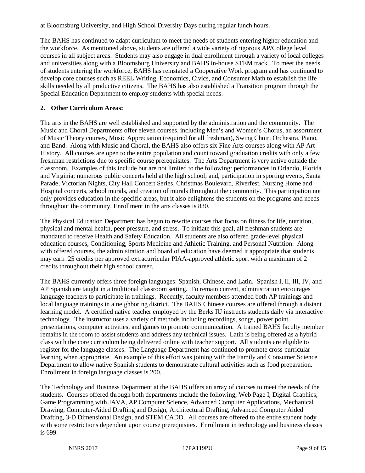at Bloomsburg University, and High School Diversity Days during regular lunch hours.

The BAHS has continued to adapt curriculum to meet the needs of students entering higher education and the workforce. As mentioned above, students are offered a wide variety of rigorous AP/College level courses in all subject areas. Students may also engage in dual enrollment through a variety of local colleges and universities along with a Bloomsburg University and BAHS in-house STEM track. To meet the needs of students entering the workforce, BAHS has reinstated a Cooperative Work program and has continued to develop core courses such as REEL Writing, Economics, Civics, and Consumer Math to establish the life skills needed by all productive citizens. The BAHS has also established a Transition program through the Special Education Department to employ students with special needs.

#### **2. Other Curriculum Areas:**

The arts in the BAHS are well established and supported by the administration and the community. The Music and Choral Departments offer eleven courses, including Men's and Women's Chorus, an assortment of Music Theory courses, Music Appreciation (required for all freshman), Swing Choir, Orchestra, Piano, and Band. Along with Music and Choral, the BAHS also offers six Fine Arts courses along with AP Art History. All courses are open to the entire population and count toward graduation credits with only a few freshman restrictions due to specific course prerequisites. The Arts Department is very active outside the classroom. Examples of this include but are not limited to the following: performances in Orlando, Florida and Virginia; numerous public concerts held at the high school; and, participation in sporting events, Santa Parade, Victorian Nights, City Hall Concert Series, Christmas Boulevard, Riverfest, Nursing Home and Hospital concerts, school murals, and creation of murals throughout the community. This participation not only provides education in the specific areas, but it also enlightens the students on the programs and needs throughout the community. Enrollment in the arts classes is 830.

The Physical Education Department has begun to rewrite courses that focus on fitness for life, nutrition, physical and mental health, peer pressure, and stress. To initiate this goal, all freshman students are mandated to receive Health and Safety Education. All students are also offered grade-level physical education courses, Conditioning, Sports Medicine and Athletic Training, and Personal Nutrition. Along with offered courses, the administration and board of education have deemed it appropriate that students may earn .25 credits per approved extracurricular PIAA-approved athletic sport with a maximum of 2 credits throughout their high school career.

The BAHS currently offers three foreign languages: Spanish, Chinese, and Latin. Spanish I, II, III, IV, and AP Spanish are taught in a traditional classroom setting. To remain current, administration encourages language teachers to participate in trainings. Recently, faculty members attended both AP trainings and local language trainings in a neighboring district. The BAHS Chinese courses are offered through a distant learning model. A certified native teacher employed by the Berks IU instructs students daily via interactive technology. The instructor uses a variety of methods including recordings, songs, power point presentations, computer activities, and games to promote communication. A trained BAHS faculty member remains in the room to assist students and address any technical issues. Latin is being offered as a hybrid class with the core curriculum being delivered online with teacher support. All students are eligible to register for the language classes. The Language Department has continued to promote cross-curricular learning when appropriate. An example of this effort was joining with the Family and Consumer Science Department to allow native Spanish students to demonstrate cultural activities such as food preparation. Enrollment in foreign language classes is 200.

The Technology and Business Department at the BAHS offers an array of courses to meet the needs of the students. Courses offered through both departments include the following; Web Page I, Digital Graphics, Game Programming with JAVA, AP Computer Science, Advanced Computer Applications, Mechanical Drawing, Computer-Aided Drafting and Design, Architectural Drafting, Advanced Computer Aided Drafting, 3-D Dimensional Design, and STEM CADD. All courses are offered to the entire student body with some restrictions dependent upon course prerequisites. Enrollment in technology and business classes is 699.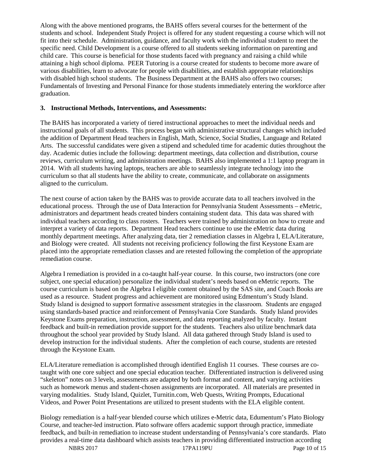Along with the above mentioned programs, the BAHS offers several courses for the betterment of the students and school. Independent Study Project is offered for any student requesting a course which will not fit into their schedule. Administration, guidance, and faculty work with the individual student to meet the specific need. Child Development is a course offered to all students seeking information on parenting and child care. This course is beneficial for those students faced with pregnancy and raising a child while attaining a high school diploma. PEER Tutoring is a course created for students to become more aware of various disabilities, learn to advocate for people with disabilities, and establish appropriate relationships with disabled high school students. The Business Department at the BAHS also offers two courses; Fundamentals of Investing and Personal Finance for those students immediately entering the workforce after graduation.

#### **3. Instructional Methods, Interventions, and Assessments:**

The BAHS has incorporated a variety of tiered instructional approaches to meet the individual needs and instructional goals of all students. This process began with administrative structural changes which included the addition of Department Head teachers in English, Math, Science, Social Studies, Language and Related Arts. The successful candidates were given a stipend and scheduled time for academic duties throughout the day. Academic duties include the following: department meetings, data collection and distribution, course reviews, curriculum writing, and administration meetings. BAHS also implemented a 1:1 laptop program in 2014. With all students having laptops, teachers are able to seamlessly integrate technology into the curriculum so that all students have the ability to create, communicate, and collaborate on assignments aligned to the curriculum.

The next course of action taken by the BAHS was to provide accurate data to all teachers involved in the educational process. Through the use of Data Interaction for Pennsylvania Student Assessments – eMetric, administrators and department heads created binders containing student data. This data was shared with individual teachers according to class rosters. Teachers were trained by administration on how to create and interpret a variety of data reports. Department Head teachers continue to use the eMetric data during monthly department meetings. After analyzing data, tier 2 remediation classes in Algebra I, ELA/Literature, and Biology were created. All students not receiving proficiency following the first Keystone Exam are placed into the appropriate remediation classes and are retested following the completion of the appropriate remediation course.

Algebra I remediation is provided in a co-taught half-year course. In this course, two instructors (one core subject, one special education) personalize the individual student's needs based on eMetric reports. The course curriculum is based on the Algebra I eligible content obtained by the SAS site, and Coach Books are used as a resource. Student progress and achievement are monitored using Edmentum's Study Island. Study Island is designed to support formative assessment strategies in the classroom.  Students are engaged using standards-based practice and reinforcement of Pennsylvania Core Standards. Study Island provides Keystone Exams preparation, instruction, assessment, and data reporting analyzed by faculty. Instant feedback and built-in remediation provide support for the students. Teachers also utilize benchmark data throughout the school year provided by Study Island. All data gathered through Study Island is used to develop instruction for the individual students. After the completion of each course, students are retested through the Keystone Exam.

ELA/Literature remediation is accomplished through identified English 11 courses. These courses are cotaught with one core subject and one special education teacher. Differentiated instruction is delivered using "skeleton" notes on 3 levels, assessments are adapted by both format and content, and varying activities such as homework menus and student-chosen assignments are incorporated. All materials are presented in varying modalities. Study Island, Quizlet, Turnitin.com, Web Quests, Writing Prompts, Educational Videos, and Power Point Presentations are utilized to present students with the ELA eligible content.

Biology remediation is a half-year blended course which utilizes e-Metric data, Edumentum's Plato Biology Course, and teacher-led instruction. Plato software offers academic support through practice, immediate feedback, and built-in remediation to increase student understanding of Pennsylvania's core standards. Plato provides a real-time data dashboard which assists teachers in providing differentiated instruction according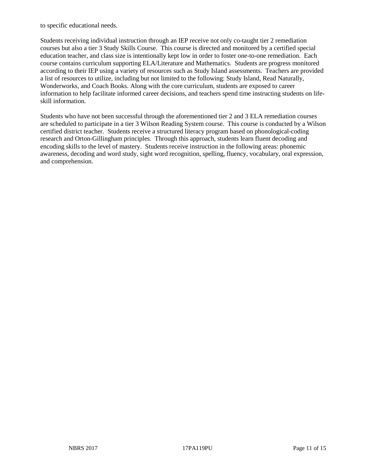to specific educational needs.

Students receiving individual instruction through an IEP receive not only co-taught tier 2 remediation courses but also a tier 3 Study Skills Course. This course is directed and monitored by a certified special education teacher, and class size is intentionally kept low in order to foster one-to-one remediation. Each course contains curriculum supporting ELA/Literature and Mathematics. Students are progress monitored according to their IEP using a variety of resources such as Study Island assessments. Teachers are provided a list of resources to utilize, including but not limited to the following: Study Island, Read Naturally, Wonderworks, and Coach Books. Along with the core curriculum, students are exposed to career information to help facilitate informed career decisions, and teachers spend time instructing students on lifeskill information.

Students who have not been successful through the aforementioned tier 2 and 3 ELA remediation courses are scheduled to participate in a tier 3 Wilson Reading System course. This course is conducted by a Wilson certified district teacher. Students receive a structured literacy program based on phonological-coding research and Orton-Gillingham principles. Through this approach, students learn fluent decoding and encoding skills to the level of mastery. Students receive instruction in the following areas: phonemic awareness, decoding and word study, sight word recognition, spelling, fluency, vocabulary, oral expression, and comprehension.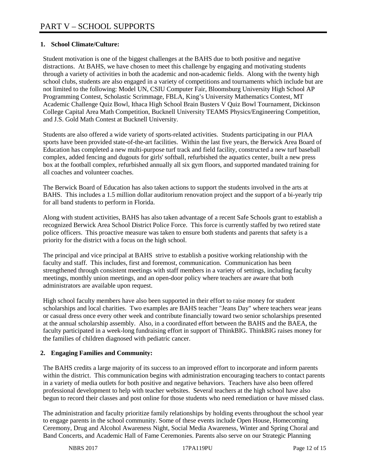## **1. School Climate/Culture:**

Student motivation is one of the biggest challenges at the BAHS due to both positive and negative distractions. At BAHS, we have chosen to meet this challenge by engaging and motivating students through a variety of activities in both the academic and non-academic fields. Along with the twenty high school clubs, students are also engaged in a variety of competitions and tournaments which include but are not limited to the following: Model UN, CSIU Computer Fair, Bloomsburg University High School AP Programming Contest, Scholastic Scrimmage, FBLA, King's University Mathematics Contest, MT Academic Challenge Quiz Bowl, Ithaca High School Brain Busters V Quiz Bowl Tournament, Dickinson College Capital Area Math Competition, Bucknell University TEAMS Physics/Engineering Competition, and J.S. Gold Math Contest at Bucknell University.

Students are also offered a wide variety of sports-related activities. Students participating in our PIAA sports have been provided state-of-the-art facilities. Within the last five years, the Berwick Area Board of Education has completed a new multi-purpose turf track and field facility, constructed a new turf baseball complex, added fencing and dugouts for girls' softball, refurbished the aquatics center, built a new press box at the football complex, refurbished annually all six gym floors, and supported mandated training for all coaches and volunteer coaches.

The Berwick Board of Education has also taken actions to support the students involved in the arts at BAHS. This includes a 1.5 million dollar auditorium renovation project and the support of a bi-yearly trip for all band students to perform in Florida.

Along with student activities, BAHS has also taken advantage of a recent Safe Schools grant to establish a recognized Berwick Area School District Police Force. This force is currently staffed by two retired state police officers. This proactive measure was taken to ensure both students and parents that safety is a priority for the district with a focus on the high school.

The principal and vice principal at BAHS strive to establish a positive working relationship with the faculty and staff. This includes, first and foremost, communication. Communication has been strengthened through consistent meetings with staff members in a variety of settings, including faculty meetings, monthly union meetings, and an open-door policy where teachers are aware that both administrators are available upon request.

High school faculty members have also been supported in their effort to raise money for student scholarships and local charities. Two examples are BAHS teacher "Jeans Day" where teachers wear jeans or casual dress once every other week and contribute financially toward two senior scholarships presented at the annual scholarship assembly. Also, in a coordinated effort between the BAHS and the BAEA, the faculty participated in a week-long fundraising effort in support of ThinkBIG. ThinkBIG raises money for the families of children diagnosed with pediatric cancer.

## **2. Engaging Families and Community:**

The BAHS credits a large majority of its success to an improved effort to incorporate and inform parents within the district. This communication begins with administration encouraging teachers to contact parents in a variety of media outlets for both positive and negative behaviors. Teachers have also been offered professional development to help with teacher websites. Several teachers at the high school have also begun to record their classes and post online for those students who need remediation or have missed class.

The administration and faculty prioritize family relationships by holding events throughout the school year to engage parents in the school community. Some of these events include Open House, Homecoming Ceremony, Drug and Alcohol Awareness Night, Social Media Awareness, Winter and Spring Choral and Band Concerts, and Academic Hall of Fame Ceremonies. Parents also serve on our Strategic Planning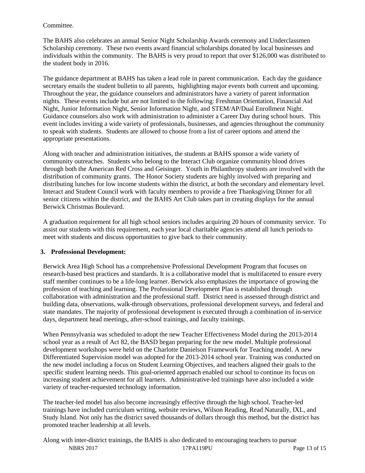#### Committee.

The BAHS also celebrates an annual Senior Night Scholarship Awards ceremony and Underclassmen Scholarship ceremony. These two events award financial scholarships donated by local businesses and individuals within the community. The BAHS is very proud to report that over \$126,000 was distributed to the student body in 2016.

The guidance department at BAHS has taken a lead role in parent communication. Each day the guidance secretary emails the student bulletin to all parents, highlighting major events both current and upcoming. Throughout the year, the guidance counselors and administrators have a variety of parent information nights. These events include but are not limited to the following: Freshman Orientation, Financial Aid Night, Junior Information Night, Senior Information Night, and STEM/AP/Dual Enrollment Night. Guidance counselors also work with administration to administer a Career Day during school hours. This event includes inviting a wide variety of professionals, businesses, and agencies throughout the community to speak with students. Students are allowed to choose from a list of career options and attend the appropriate presentations.

Along with teacher and administration initiatives, the students at BAHS sponsor a wide variety of community outreaches. Students who belong to the Interact Club organize community blood drives through both the American Red Cross and Geisinger. Youth in Philanthropy students are involved with the distribution of community grants. The Honor Society students are highly involved with preparing and distributing lunches for low income students within the district, at both the secondary and elementary level. Interact and Student Council work with faculty members to provide a free Thanksgiving Dinner for all senior citizens within the district, and the BAHS Art Club takes part in creating displays for the annual Berwick Christmas Boulevard.

A graduation requirement for all high school seniors includes acquiring 20 hours of community service. To assist our students with this requirement, each year local charitable agencies attend all lunch periods to meet with students and discuss opportunities to give back to their community.

## **3. Professional Development:**

Berwick Area High School has a comprehensive Professional Development Program that focuses on research-based best practices and standards. It is a collaborative model that is multifaceted to ensure every staff member continues to be a life-long learner. Berwick also emphasizes the importance of growing the profession of teaching and learning. The Professional Development Plan is established through collaboration with administration and the professional staff. District need is assessed through district and building data, observations, walk-through observations, professional development surveys, and federal and state mandates. The majority of professional development is executed through a combination of in-service days, department head meetings, after-school trainings, and faculty trainings.

When Pennsylvania was scheduled to adopt the new Teacher Effectiveness Model during the 2013-2014 school year as a result of Act 82, the BASD began preparing for the new model. Multiple professional development workshops were held on the Charlotte Danielson Framework for Teaching model. A new Differentiated Supervision model was adopted for the 2013-2014 school year. Training was conducted on the new model including a focus on Student Learning Objectives, and teachers aligned their goals to the specific student learning needs. This goal-oriented approach enabled our school to continue its focus on increasing student achievement for all learners. Administrative-led trainings have also included a wide variety of teacher-requested technology information.

The teacher-led model has also become increasingly effective through the high school. Teacher-led trainings have included curriculum writing, website reviews, Wilson Reading, Read Naturally, IXL, and Study Island. Not only has the district saved thousands of dollars through this method, but the district has promoted teacher leadership at all levels.

NBRS 2017 17PA119PU Page 13 of 15 Along with inter-district trainings, the BAHS is also dedicated to encouraging teachers to pursue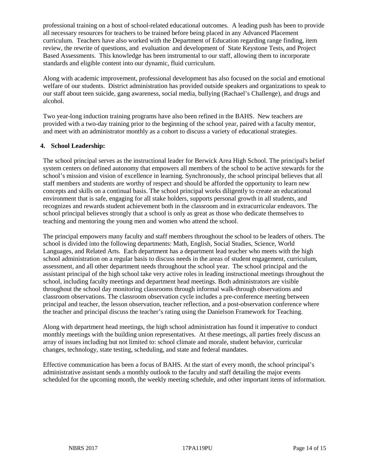professional training on a host of school-related educational outcomes. A leading push has been to provide all necessary resources for teachers to be trained before being placed in any Advanced Placement curriculum. Teachers have also worked with the Department of Education regarding range finding, item review, the rewrite of questions, and evaluation and development of State Keystone Tests, and Project Based Assessments. This knowledge has been instrumental to our staff, allowing them to incorporate standards and eligible content into our dynamic, fluid curriculum.

Along with academic improvement, professional development has also focused on the social and emotional welfare of our students. District administration has provided outside speakers and organizations to speak to our staff about teen suicide, gang awareness, social media, bullying (Rachael's Challenge), and drugs and alcohol.

Two year-long induction training programs have also been refined in the BAHS. New teachers are provided with a two-day training prior to the beginning of the school year, paired with a faculty mentor, and meet with an administrator monthly as a cohort to discuss a variety of educational strategies.

#### **4. School Leadership:**

The school principal serves as the instructional leader for Berwick Area High School. The principal's belief system centers on defined autonomy that empowers all members of the school to be active stewards for the school's mission and vision of excellence in learning. Synchronously, the school principal believes that all staff members and students are worthy of respect and should be afforded the opportunity to learn new concepts and skills on a continual basis. The school principal works diligently to create an educational environment that is safe, engaging for all stake holders, supports personal growth in all students, and recognizes and rewards student achievement both in the classroom and in extracurricular endeavors. The school principal believes strongly that a school is only as great as those who dedicate themselves to teaching and mentoring the young men and women who attend the school.

The principal empowers many faculty and staff members throughout the school to be leaders of others. The school is divided into the following departments: Math, English, Social Studies, Science, World Languages, and Related Arts. Each department has a department lead teacher who meets with the high school administration on a regular basis to discuss needs in the areas of student engagement, curriculum, assessment, and all other department needs throughout the school year. The school principal and the assistant principal of the high school take very active roles in leading instructional meetings throughout the school, including faculty meetings and department head meetings. Both administrators are visible throughout the school day monitoring classrooms through informal walk-through observations and classroom observations. The classroom observation cycle includes a pre-conference meeting between principal and teacher, the lesson observation, teacher reflection, and a post-observation conference where the teacher and principal discuss the teacher's rating using the Danielson Framework for Teaching.

Along with department head meetings, the high school administration has found it imperative to conduct monthly meetings with the building union representatives. At these meetings, all parties freely discuss an array of issues including but not limited to: school climate and morale, student behavior, curricular changes, technology, state testing, scheduling, and state and federal mandates.

Effective communication has been a focus of BAHS. At the start of every month, the school principal's administrative assistant sends a monthly outlook to the faculty and staff detailing the major events scheduled for the upcoming month, the weekly meeting schedule, and other important items of information.